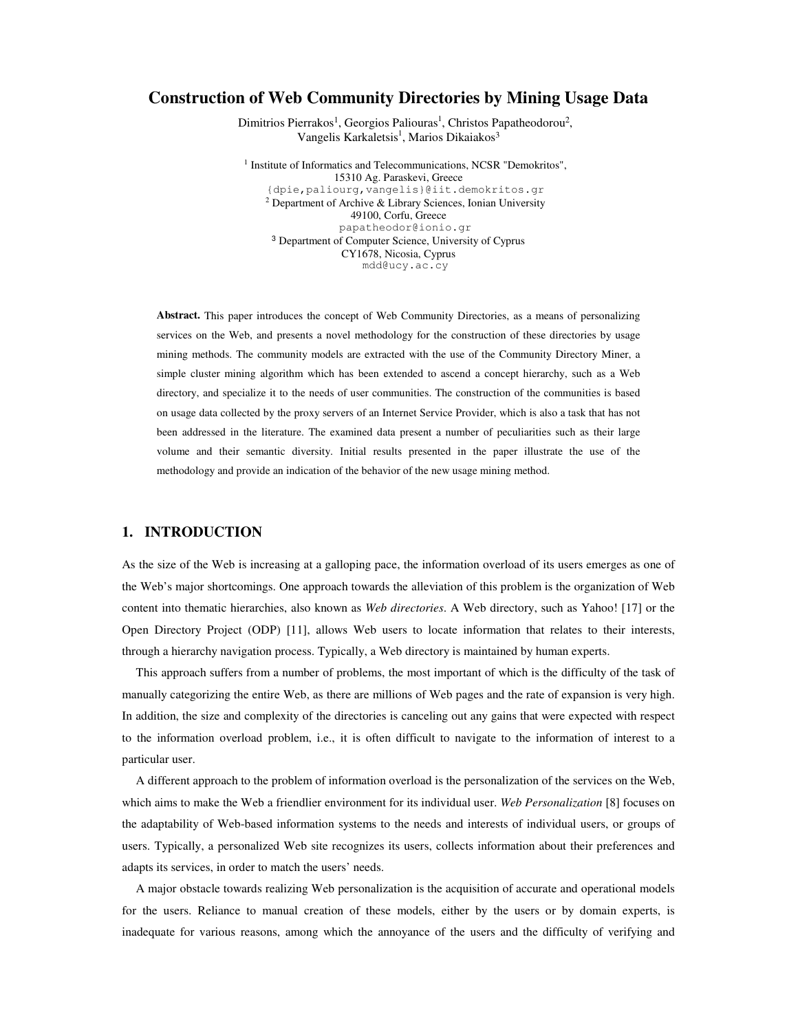## **Construction of Web Community Directories by Mining Usage Data**

Dimitrios Pierrakos<sup>1</sup>, Georgios Paliouras<sup>1</sup>, Christos Papatheodorou<sup>2</sup>, Vangelis Karkaletsis<sup>1</sup>, Marios Dikaiakos<sup>3</sup>

<sup>1</sup> Institute of Informatics and Telecommunications, NCSR "Demokritos", 15310 Ag. Paraskevi, Greece {dpie,paliourg,vangelis}@iit.demokritos.gr <sup>2</sup> Department of Archive & Library Sciences, Ionian University 49100, Corfu, Greece papatheodor@ionio.gr <sup>3</sup> Department of Computer Science, University of Cyprus CY1678, Nicosia, Cyprus mdd@ucy.ac.cy

**Abstract.** This paper introduces the concept of Web Community Directories, as a means of personalizing services on the Web, and presents a novel methodology for the construction of these directories by usage mining methods. The community models are extracted with the use of the Community Directory Miner, a simple cluster mining algorithm which has been extended to ascend a concept hierarchy, such as a Web directory, and specialize it to the needs of user communities. The construction of the communities is based on usage data collected by the proxy servers of an Internet Service Provider, which is also a task that has not been addressed in the literature. The examined data present a number of peculiarities such as their large volume and their semantic diversity. Initial results presented in the paper illustrate the use of the methodology and provide an indication of the behavior of the new usage mining method.

## **1. INTRODUCTION**

As the size of the Web is increasing at a galloping pace, the information overload of its users emerges as one of the Web's major shortcomings. One approach towards the alleviation of this problem is the organization of Web content into thematic hierarchies, also known as *Web directories*. A Web directory, such as Yahoo! [17] or the Open Directory Project (ODP) [11], allows Web users to locate information that relates to their interests, through a hierarchy navigation process. Typically, a Web directory is maintained by human experts.

This approach suffers from a number of problems, the most important of which is the difficulty of the task of manually categorizing the entire Web, as there are millions of Web pages and the rate of expansion is very high. In addition, the size and complexity of the directories is canceling out any gains that were expected with respect to the information overload problem, i.e., it is often difficult to navigate to the information of interest to a particular user.

A different approach to the problem of information overload is the personalization of the services on the Web, which aims to make the Web a friendlier environment for its individual user. *Web Personalization* [8] focuses on the adaptability of Web-based information systems to the needs and interests of individual users, or groups of users. Typically, a personalized Web site recognizes its users, collects information about their preferences and adapts its services, in order to match the users' needs.

A major obstacle towards realizing Web personalization is the acquisition of accurate and operational models for the users. Reliance to manual creation of these models, either by the users or by domain experts, is inadequate for various reasons, among which the annoyance of the users and the difficulty of verifying and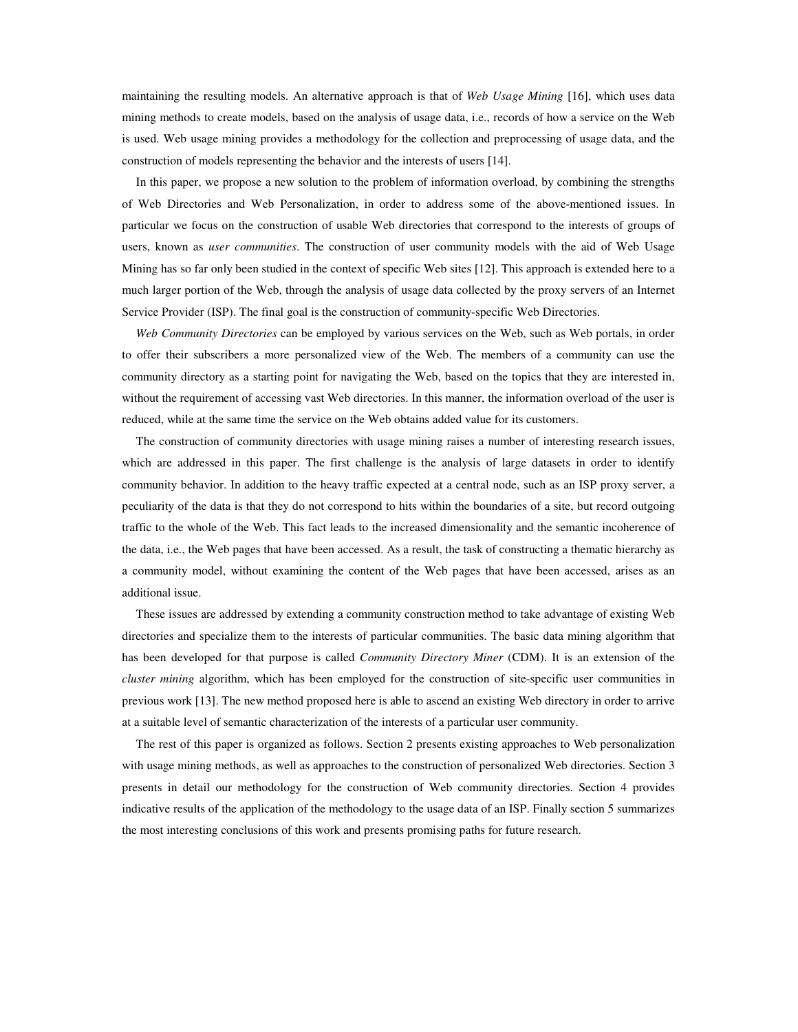maintaining the resulting models. An alternative approach is that of *Web Usage Mining* [16], which uses data mining methods to create models, based on the analysis of usage data, i.e., records of how a service on the Web is used. Web usage mining provides a methodology for the collection and preprocessing of usage data, and the construction of models representing the behavior and the interests of users [14].

In this paper, we propose a new solution to the problem of information overload, by combining the strengths of Web Directories and Web Personalization, in order to address some of the above-mentioned issues. In particular we focus on the construction of usable Web directories that correspond to the interests of groups of users, known as *user communities*. The construction of user community models with the aid of Web Usage Mining has so far only been studied in the context of specific Web sites [12]. This approach is extended here to a much larger portion of the Web, through the analysis of usage data collected by the proxy servers of an Internet Service Provider (ISP). The final goal is the construction of community-specific Web Directories.

*Web Community Directories* can be employed by various services on the Web, such as Web portals, in order to offer their subscribers a more personalized view of the Web. The members of a community can use the community directory as a starting point for navigating the Web, based on the topics that they are interested in, without the requirement of accessing vast Web directories. In this manner, the information overload of the user is reduced, while at the same time the service on the Web obtains added value for its customers.

The construction of community directories with usage mining raises a number of interesting research issues, which are addressed in this paper. The first challenge is the analysis of large datasets in order to identify community behavior. In addition to the heavy traffic expected at a central node, such as an ISP proxy server, a peculiarity of the data is that they do not correspond to hits within the boundaries of a site, but record outgoing traffic to the whole of the Web. This fact leads to the increased dimensionality and the semantic incoherence of the data, i.e., the Web pages that have been accessed. As a result, the task of constructing a thematic hierarchy as a community model, without examining the content of the Web pages that have been accessed, arises as an additional issue.

These issues are addressed by extending a community construction method to take advantage of existing Web directories and specialize them to the interests of particular communities. The basic data mining algorithm that has been developed for that purpose is called *Community Directory Miner* (CDM). It is an extension of the *cluster mining* algorithm, which has been employed for the construction of site-specific user communities in previous work [13]. The new method proposed here is able to ascend an existing Web directory in order to arrive at a suitable level of semantic characterization of the interests of a particular user community.

The rest of this paper is organized as follows. Section 2 presents existing approaches to Web personalization with usage mining methods, as well as approaches to the construction of personalized Web directories. Section 3 presents in detail our methodology for the construction of Web community directories. Section 4 provides indicative results of the application of the methodology to the usage data of an ISP. Finally section 5 summarizes the most interesting conclusions of this work and presents promising paths for future research.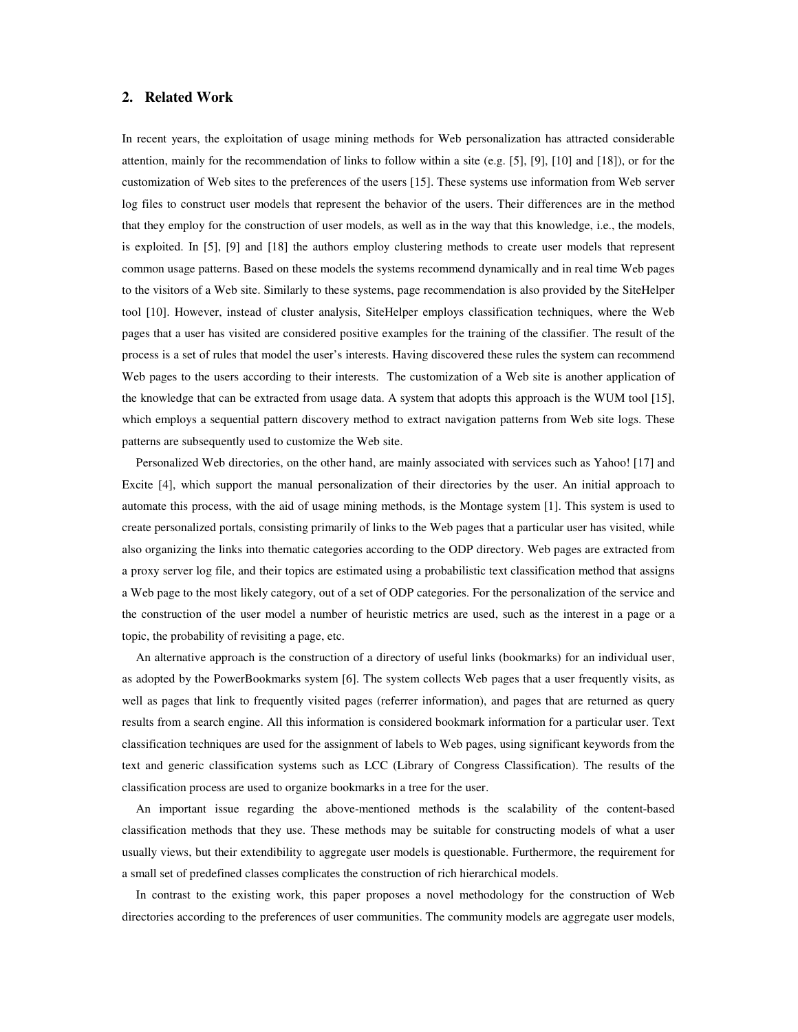## **2. Related Work**

In recent years, the exploitation of usage mining methods for Web personalization has attracted considerable attention, mainly for the recommendation of links to follow within a site (e.g. [5], [9], [10] and [18]), or for the customization of Web sites to the preferences of the users [15]. These systems use information from Web server log files to construct user models that represent the behavior of the users. Their differences are in the method that they employ for the construction of user models, as well as in the way that this knowledge, i.e., the models, is exploited. In [5], [9] and [18] the authors employ clustering methods to create user models that represent common usage patterns. Based on these models the systems recommend dynamically and in real time Web pages to the visitors of a Web site. Similarly to these systems, page recommendation is also provided by the SiteHelper tool [10]. However, instead of cluster analysis, SiteHelper employs classification techniques, where the Web pages that a user has visited are considered positive examples for the training of the classifier. The result of the process is a set of rules that model the user's interests. Having discovered these rules the system can recommend Web pages to the users according to their interests. The customization of a Web site is another application of the knowledge that can be extracted from usage data. A system that adopts this approach is the WUM tool [15], which employs a sequential pattern discovery method to extract navigation patterns from Web site logs. These patterns are subsequently used to customize the Web site.

Personalized Web directories, on the other hand, are mainly associated with services such as Yahoo! [17] and Excite [4], which support the manual personalization of their directories by the user. An initial approach to automate this process, with the aid of usage mining methods, is the Montage system [1]. This system is used to create personalized portals, consisting primarily of links to the Web pages that a particular user has visited, while also organizing the links into thematic categories according to the ODP directory. Web pages are extracted from a proxy server log file, and their topics are estimated using a probabilistic text classification method that assigns a Web page to the most likely category, out of a set of ODP categories. For the personalization of the service and the construction of the user model a number of heuristic metrics are used, such as the interest in a page or a topic, the probability of revisiting a page, etc.

An alternative approach is the construction of a directory of useful links (bookmarks) for an individual user, as adopted by the PowerBookmarks system [6]. The system collects Web pages that a user frequently visits, as well as pages that link to frequently visited pages (referrer information), and pages that are returned as query results from a search engine. All this information is considered bookmark information for a particular user. Text classification techniques are used for the assignment of labels to Web pages, using significant keywords from the text and generic classification systems such as LCC (Library of Congress Classification). The results of the classification process are used to organize bookmarks in a tree for the user.

An important issue regarding the above-mentioned methods is the scalability of the content-based classification methods that they use. These methods may be suitable for constructing models of what a user usually views, but their extendibility to aggregate user models is questionable. Furthermore, the requirement for a small set of predefined classes complicates the construction of rich hierarchical models.

In contrast to the existing work, this paper proposes a novel methodology for the construction of Web directories according to the preferences of user communities. The community models are aggregate user models,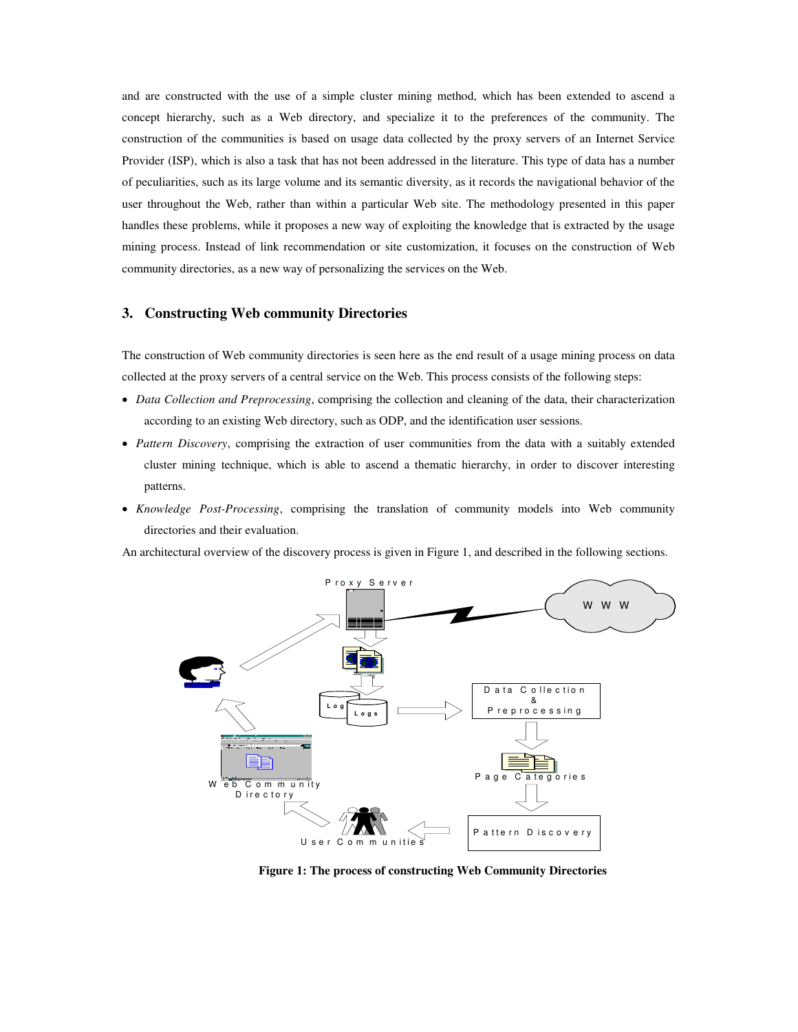and are constructed with the use of a simple cluster mining method, which has been extended to ascend a concept hierarchy, such as a Web directory, and specialize it to the preferences of the community. The construction of the communities is based on usage data collected by the proxy servers of an Internet Service Provider (ISP), which is also a task that has not been addressed in the literature. This type of data has a number of peculiarities, such as its large volume and its semantic diversity, as it records the navigational behavior of the user throughout the Web, rather than within a particular Web site. The methodology presented in this paper handles these problems, while it proposes a new way of exploiting the knowledge that is extracted by the usage mining process. Instead of link recommendation or site customization, it focuses on the construction of Web community directories, as a new way of personalizing the services on the Web.

## **3. Constructing Web community Directories**

The construction of Web community directories is seen here as the end result of a usage mining process on data collected at the proxy servers of a central service on the Web. This process consists of the following steps:

- *Data Collection and Preprocessing*, comprising the collection and cleaning of the data, their characterization according to an existing Web directory, such as ODP, and the identification user sessions.
- *Pattern Discovery*, comprising the extraction of user communities from the data with a suitably extended cluster mining technique, which is able to ascend a thematic hierarchy, in order to discover interesting patterns.
- *Knowledge Post-Processing*, comprising the translation of community models into Web community directories and their evaluation.

An architectural overview of the discovery process is given in Figure 1, and described in the following sections.



**Figure 1: The process of constructing Web Community Directories**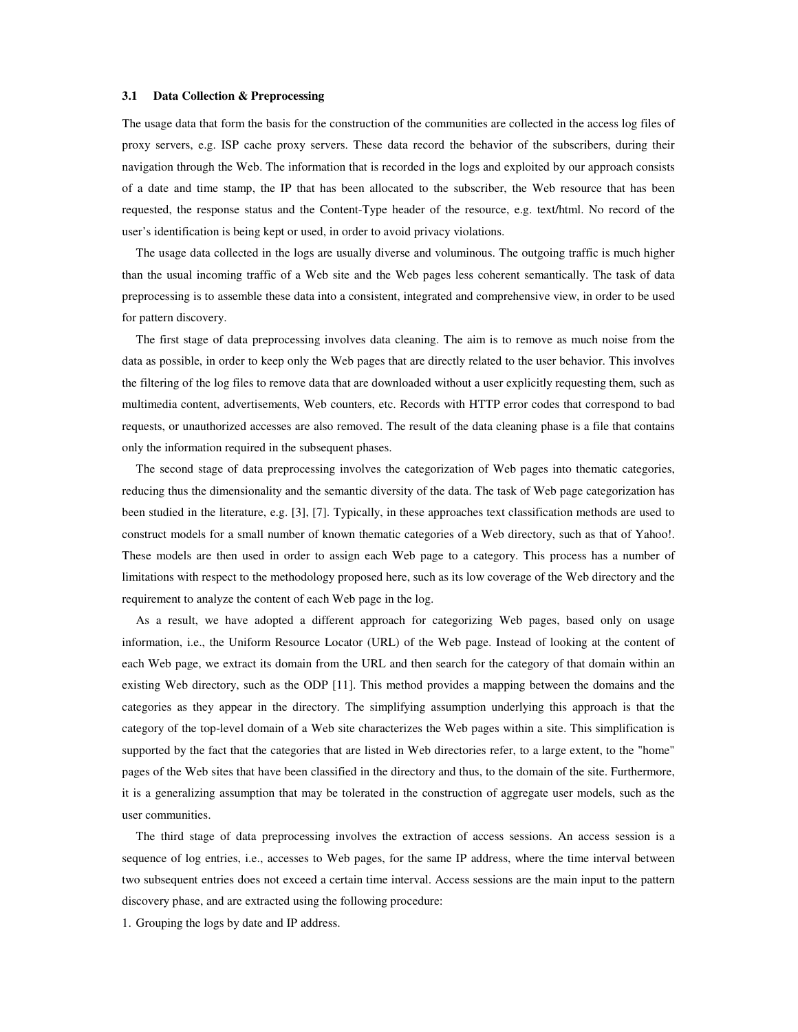#### **3.1 Data Collection & Preprocessing**

The usage data that form the basis for the construction of the communities are collected in the access log files of proxy servers, e.g. ISP cache proxy servers. These data record the behavior of the subscribers, during their navigation through the Web. The information that is recorded in the logs and exploited by our approach consists of a date and time stamp, the IP that has been allocated to the subscriber, the Web resource that has been requested, the response status and the Content-Type header of the resource, e.g. text/html. No record of the user's identification is being kept or used, in order to avoid privacy violations.

The usage data collected in the logs are usually diverse and voluminous. The outgoing traffic is much higher than the usual incoming traffic of a Web site and the Web pages less coherent semantically. The task of data preprocessing is to assemble these data into a consistent, integrated and comprehensive view, in order to be used for pattern discovery.

The first stage of data preprocessing involves data cleaning. The aim is to remove as much noise from the data as possible, in order to keep only the Web pages that are directly related to the user behavior. This involves the filtering of the log files to remove data that are downloaded without a user explicitly requesting them, such as multimedia content, advertisements, Web counters, etc. Records with HTTP error codes that correspond to bad requests, or unauthorized accesses are also removed. The result of the data cleaning phase is a file that contains only the information required in the subsequent phases.

The second stage of data preprocessing involves the categorization of Web pages into thematic categories, reducing thus the dimensionality and the semantic diversity of the data. The task of Web page categorization has been studied in the literature, e.g. [3], [7]. Typically, in these approaches text classification methods are used to construct models for a small number of known thematic categories of a Web directory, such as that of Yahoo!. These models are then used in order to assign each Web page to a category. This process has a number of limitations with respect to the methodology proposed here, such as its low coverage of the Web directory and the requirement to analyze the content of each Web page in the log.

As a result, we have adopted a different approach for categorizing Web pages, based only on usage information, i.e., the Uniform Resource Locator (URL) of the Web page. Instead of looking at the content of each Web page, we extract its domain from the URL and then search for the category of that domain within an existing Web directory, such as the ODP [11]. This method provides a mapping between the domains and the categories as they appear in the directory. The simplifying assumption underlying this approach is that the category of the top-level domain of a Web site characterizes the Web pages within a site. This simplification is supported by the fact that the categories that are listed in Web directories refer, to a large extent, to the "home" pages of the Web sites that have been classified in the directory and thus, to the domain of the site. Furthermore, it is a generalizing assumption that may be tolerated in the construction of aggregate user models, such as the user communities.

The third stage of data preprocessing involves the extraction of access sessions. An access session is a sequence of log entries, i.e., accesses to Web pages, for the same IP address, where the time interval between two subsequent entries does not exceed a certain time interval. Access sessions are the main input to the pattern discovery phase, and are extracted using the following procedure:

1. Grouping the logs by date and IP address.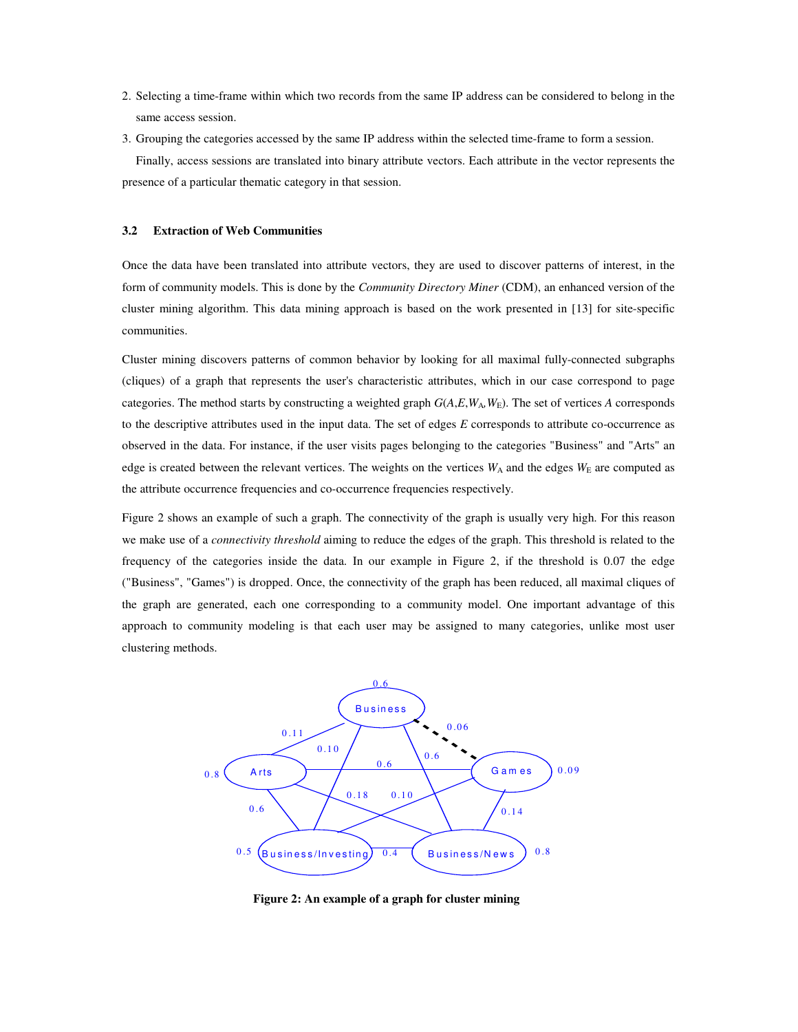- 2. Selecting a time-frame within which two records from the same IP address can be considered to belong in the same access session.
- 3. Grouping the categories accessed by the same IP address within the selected time-frame to form a session. Finally, access sessions are translated into binary attribute vectors. Each attribute in the vector represents the presence of a particular thematic category in that session.

#### **3.2 Extraction of Web Communities**

Once the data have been translated into attribute vectors, they are used to discover patterns of interest, in the form of community models. This is done by the *Community Directory Miner* (CDM), an enhanced version of the cluster mining algorithm. This data mining approach is based on the work presented in [13] for site-specific communities.

Cluster mining discovers patterns of common behavior by looking for all maximal fully-connected subgraphs (cliques) of a graph that represents the user's characteristic attributes, which in our case correspond to page categories. The method starts by constructing a weighted graph  $G(A,E,W_A,W_E)$ . The set of vertices *A* corresponds to the descriptive attributes used in the input data. The set of edges *E* corresponds to attribute co-occurrence as observed in the data. For instance, if the user visits pages belonging to the categories "Business" and "Arts" an edge is created between the relevant vertices. The weights on the vertices  $W_A$  and the edges  $W_E$  are computed as the attribute occurrence frequencies and co-occurrence frequencies respectively.

Figure 2 shows an example of such a graph. The connectivity of the graph is usually very high. For this reason we make use of a *connectivity threshold* aiming to reduce the edges of the graph. This threshold is related to the frequency of the categories inside the data. In our example in Figure 2, if the threshold is 0.07 the edge ("Business", "Games") is dropped. Once, the connectivity of the graph has been reduced, all maximal cliques of the graph are generated, each one corresponding to a community model. One important advantage of this approach to community modeling is that each user may be assigned to many categories, unlike most user clustering methods.



**Figure 2: An example of a graph for cluster mining**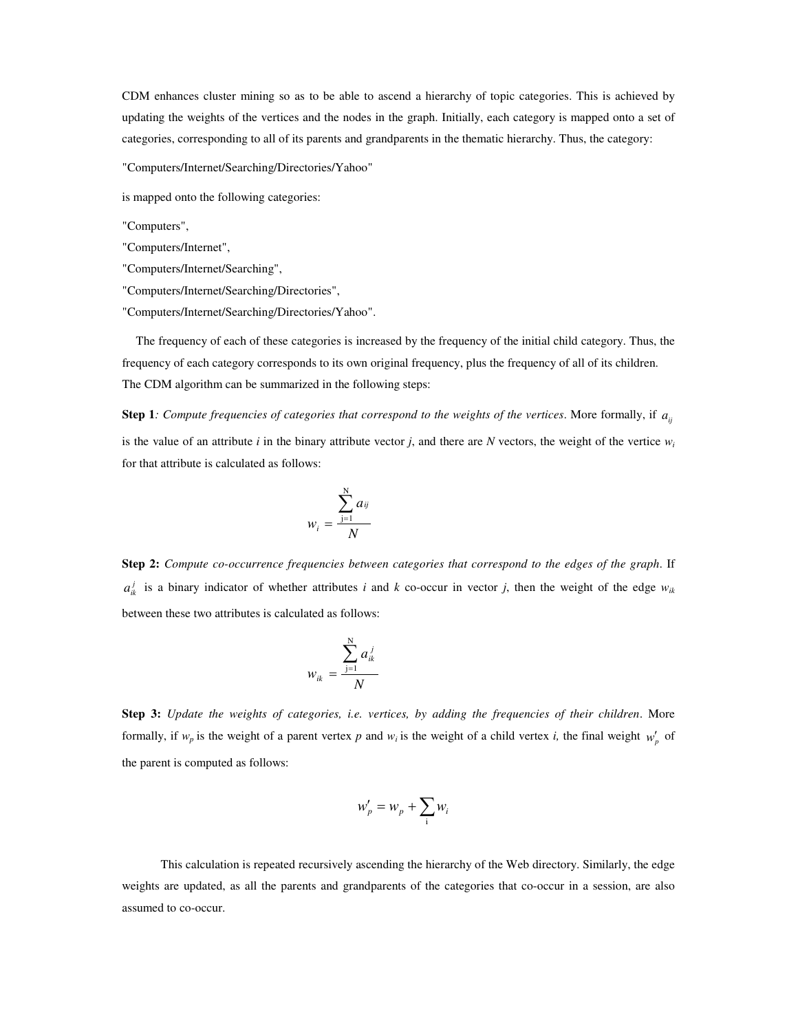CDM enhances cluster mining so as to be able to ascend a hierarchy of topic categories. This is achieved by updating the weights of the vertices and the nodes in the graph. Initially, each category is mapped onto a set of categories, corresponding to all of its parents and grandparents in the thematic hierarchy. Thus, the category:

"Computers/Internet/Searching/Directories/Yahoo"

is mapped onto the following categories:

"Computers",

"Computers/Internet",

"Computers/Internet/Searching",

"Computers/Internet/Searching/Directories",

"Computers/Internet/Searching/Directories/Yahoo".

The frequency of each of these categories is increased by the frequency of the initial child category. Thus, the frequency of each category corresponds to its own original frequency, plus the frequency of all of its children. The CDM algorithm can be summarized in the following steps:

**Step 1**: Compute frequencies of categories that correspond to the weights of the vertices. More formally, if  $a_{ij}$ is the value of an attribute *i* in the binary attribute vector *j*, and there are *N* vectors, the weight of the vertice  $w_i$ for that attribute is calculated as follows:

$$
w_i = \frac{\sum_{j=1}^{N} a_{ij}}{N}
$$

**Step 2:** *Compute co-occurrence frequencies between categories that correspond to the edges of the graph*. If  $a_{ik}^j$  is a binary indicator of whether attributes *i* and *k* co-occur in vector *j*, then the weight of the edge  $w_{ik}$ between these two attributes is calculated as follows:

$$
w_{ik} = \frac{\sum_{j=1}^{N} a_{ik}^{j}}{N}
$$

**Step 3:** *Update the weights of categories, i.e. vertices, by adding the frequencies of their children*. More formally, if  $w_p$  is the weight of a parent vertex *p* and  $w_i$  is the weight of a child vertex *i*, the final weight  $w'_p$  of the parent is computed as follows:

$$
w'_p = w_p + \sum_i w_i
$$

This calculation is repeated recursively ascending the hierarchy of the Web directory. Similarly, the edge weights are updated, as all the parents and grandparents of the categories that co-occur in a session, are also assumed to co-occur.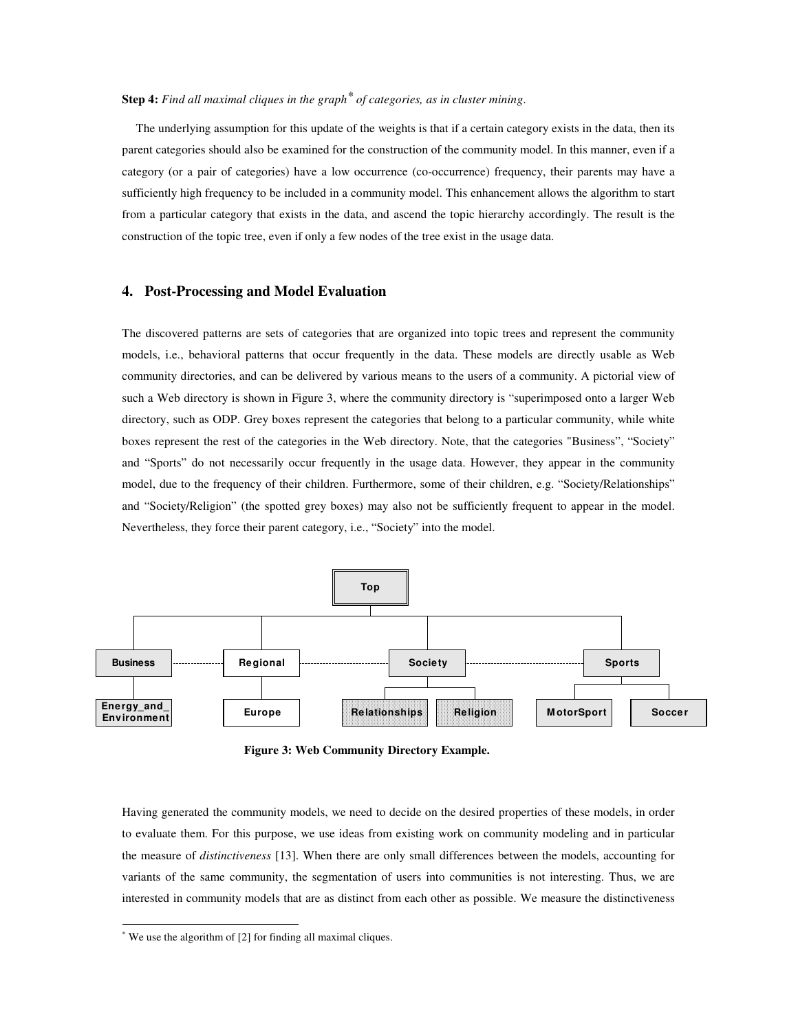# **Step 4:** *Find all maximal cliques in the graph \* of categories, as in cluster mining*.

The underlying assumption for this update of the weights is that if a certain category exists in the data, then its parent categories should also be examined for the construction of the community model. In this manner, even if a category (or a pair of categories) have a low occurrence (co-occurrence) frequency, their parents may have a sufficiently high frequency to be included in a community model. This enhancement allows the algorithm to start from a particular category that exists in the data, and ascend the topic hierarchy accordingly. The result is the construction of the topic tree, even if only a few nodes of the tree exist in the usage data.

### **4. Post-Processing and Model Evaluation**

The discovered patterns are sets of categories that are organized into topic trees and represent the community models, i.e., behavioral patterns that occur frequently in the data. These models are directly usable as Web community directories, and can be delivered by various means to the users of a community. A pictorial view of such a Web directory is shown in Figure 3, where the community directory is "superimposed onto a larger Web directory, such as ODP. Grey boxes represent the categories that belong to a particular community, while white boxes represent the rest of the categories in the Web directory. Note, that the categories "Business", "Society" and "Sports" do not necessarily occur frequently in the usage data. However, they appear in the community model, due to the frequency of their children. Furthermore, some of their children, e.g. "Society/Relationships" and "Society/Religion" (the spotted grey boxes) may also not be sufficiently frequent to appear in the model. Nevertheless, they force their parent category, i.e., "Society" into the model.



**Figure 3: Web Community Directory Example.**

Having generated the community models, we need to decide on the desired properties of these models, in order to evaluate them. For this purpose, we use ideas from existing work on community modeling and in particular the measure of *distinctiveness* [13]. When there are only small differences between the models, accounting for variants of the same community, the segmentation of users into communities is not interesting. Thus, we are interested in community models that are as distinct from each other as possible. We measure the distinctiveness

<sup>\*</sup> We use the algorithm of [2] for finding all maximal cliques.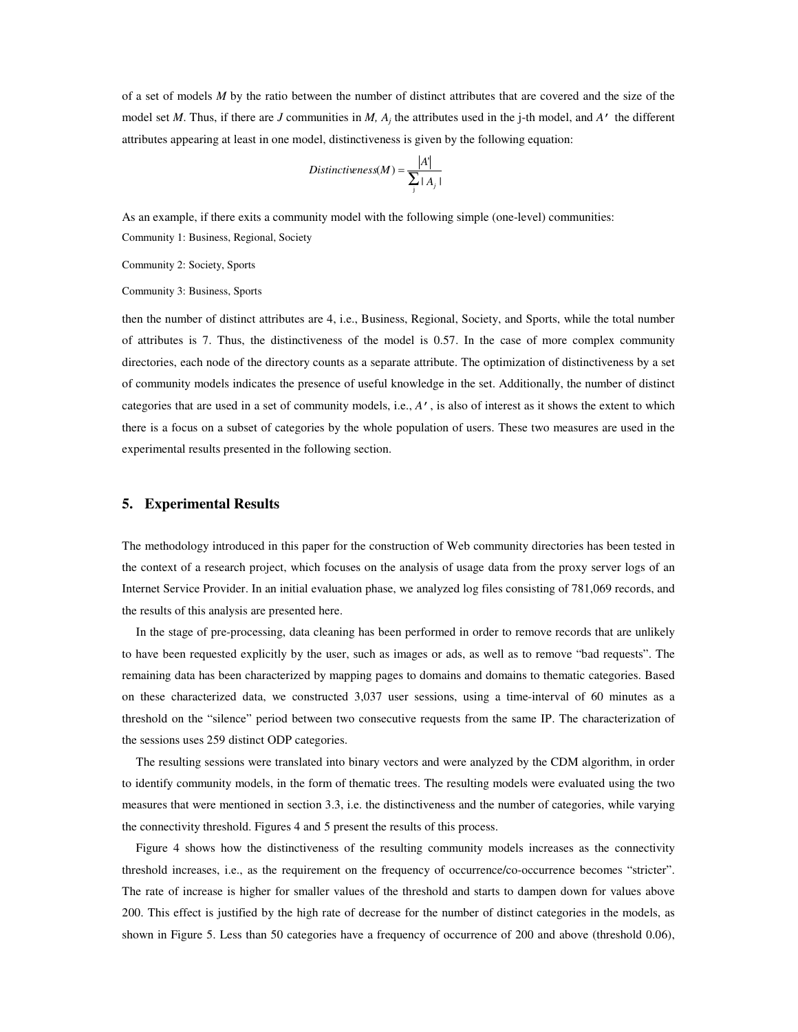of a set of models *M* by the ratio between the number of distinct attributes that are covered and the size of the model set *M*. Thus, if there are *J* communities in *M*,  $A_j$  the attributes used in the j-th model, and  $A'$  the different attributes appearing at least in one model, distinctiveness is given by the following equation:

Disticities(M) = 
$$
\frac{|A|}{\sum_{j} |A_j|}
$$

As an example, if there exits a community model with the following simple (one-level) communities: Community 1: Business, Regional, Society

Community 2: Society, Sports

Community 3: Business, Sports

then the number of distinct attributes are 4, i.e., Business, Regional, Society, and Sports, while the total number of attributes is 7. Thus, the distinctiveness of the model is 0.57. In the case of more complex community directories, each node of the directory counts as a separate attribute. The optimization of distinctiveness by a set of community models indicates the presence of useful knowledge in the set. Additionally, the number of distinct categories that are used in a set of community models, i.e., *A*', is also of interest as it shows the extent to which there is a focus on a subset of categories by the whole population of users. These two measures are used in the experimental results presented in the following section.

#### **5. Experimental Results**

The methodology introduced in this paper for the construction of Web community directories has been tested in the context of a research project, which focuses on the analysis of usage data from the proxy server logs of an Internet Service Provider. In an initial evaluation phase, we analyzed log files consisting of 781,069 records, and the results of this analysis are presented here.

In the stage of pre-processing, data cleaning has been performed in order to remove records that are unlikely to have been requested explicitly by the user, such as images or ads, as well as to remove "bad requests". The remaining data has been characterized by mapping pages to domains and domains to thematic categories. Based on these characterized data, we constructed 3,037 user sessions, using a time-interval of 60 minutes as a threshold on the "silence" period between two consecutive requests from the same IP. The characterization of the sessions uses 259 distinct ODP categories.

The resulting sessions were translated into binary vectors and were analyzed by the CDM algorithm, in order to identify community models, in the form of thematic trees. The resulting models were evaluated using the two measures that were mentioned in section 3.3, i.e. the distinctiveness and the number of categories, while varying the connectivity threshold. Figures 4 and 5 present the results of this process.

Figure 4 shows how the distinctiveness of the resulting community models increases as the connectivity threshold increases, i.e., as the requirement on the frequency of occurrence/co-occurrence becomes "stricter". The rate of increase is higher for smaller values of the threshold and starts to dampen down for values above 200. This effect is justified by the high rate of decrease for the number of distinct categories in the models, as shown in Figure 5. Less than 50 categories have a frequency of occurrence of 200 and above (threshold 0.06),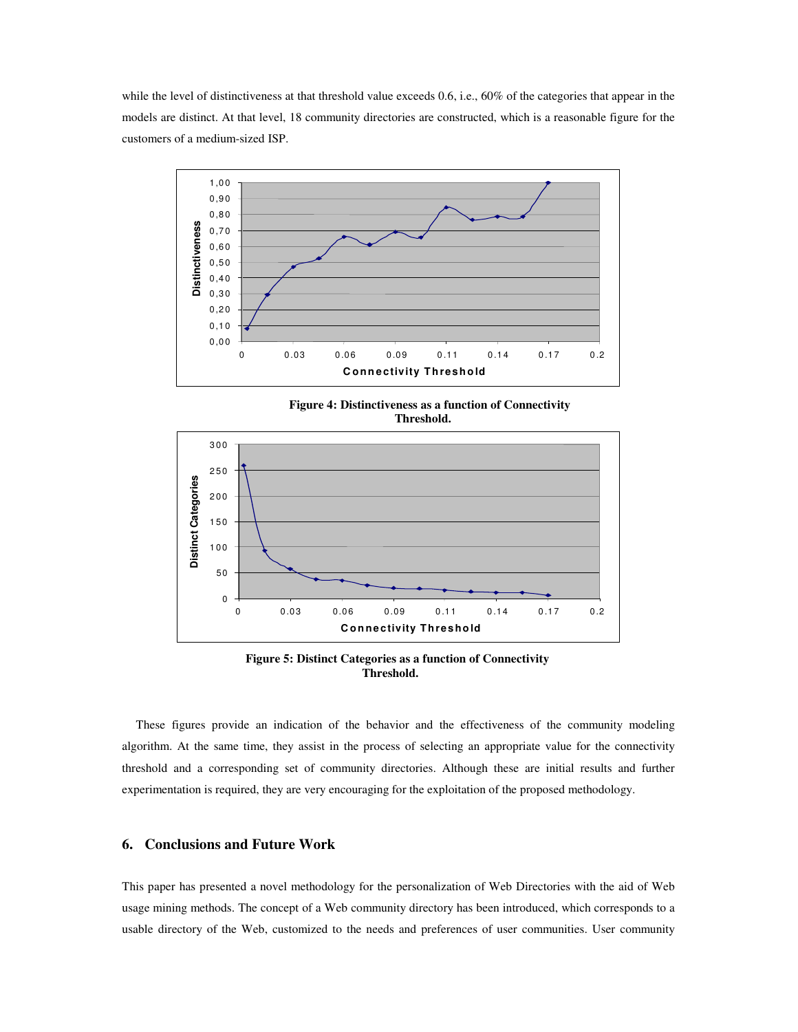while the level of distinctiveness at that threshold value exceeds 0.6, i.e., 60% of the categories that appear in the models are distinct. At that level, 18 community directories are constructed, which is a reasonable figure for the customers of a medium-sized ISP.



**Figure 4: Distinctiveness as a function of Connectivity Threshold.**



**Figure 5: Distinct Categories as a function of Connectivity Threshold.**

These figures provide an indication of the behavior and the effectiveness of the community modeling algorithm. At the same time, they assist in the process of selecting an appropriate value for the connectivity threshold and a corresponding set of community directories. Although these are initial results and further experimentation is required, they are very encouraging for the exploitation of the proposed methodology.

## **6. Conclusions and Future Work**

This paper has presented a novel methodology for the personalization of Web Directories with the aid of Web usage mining methods. The concept of a Web community directory has been introduced, which corresponds to a usable directory of the Web, customized to the needs and preferences of user communities. User community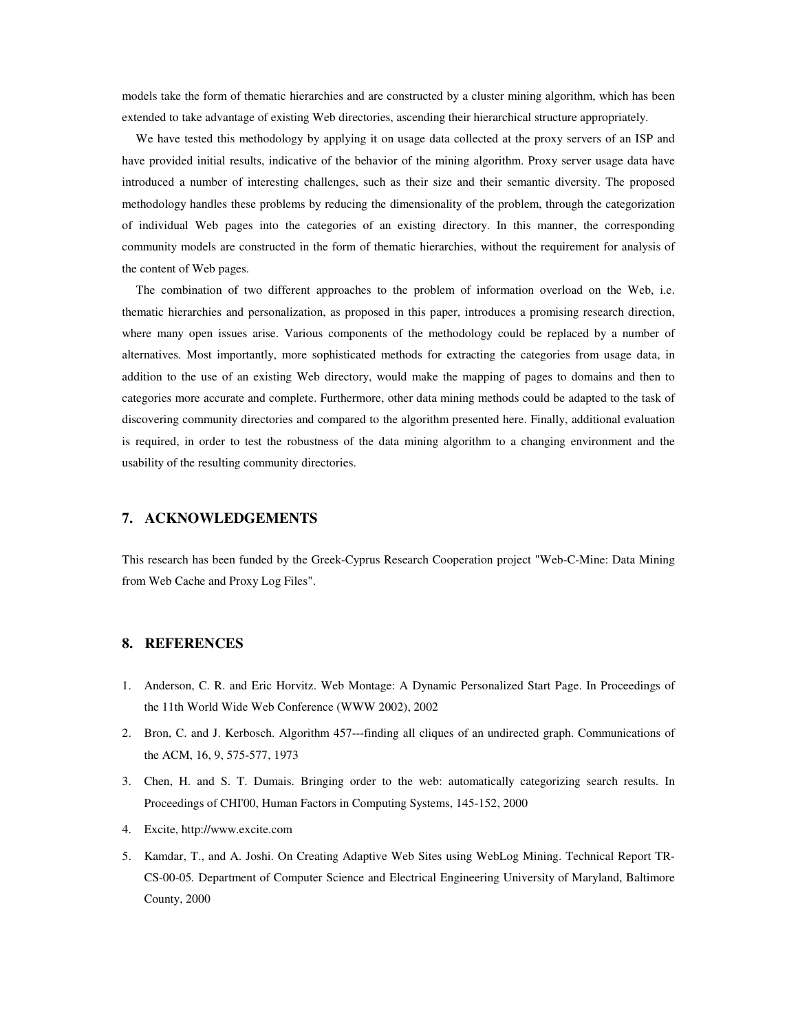models take the form of thematic hierarchies and are constructed by a cluster mining algorithm, which has been extended to take advantage of existing Web directories, ascending their hierarchical structure appropriately.

We have tested this methodology by applying it on usage data collected at the proxy servers of an ISP and have provided initial results, indicative of the behavior of the mining algorithm. Proxy server usage data have introduced a number of interesting challenges, such as their size and their semantic diversity. The proposed methodology handles these problems by reducing the dimensionality of the problem, through the categorization of individual Web pages into the categories of an existing directory. In this manner, the corresponding community models are constructed in the form of thematic hierarchies, without the requirement for analysis of the content of Web pages.

The combination of two different approaches to the problem of information overload on the Web, i.e. thematic hierarchies and personalization, as proposed in this paper, introduces a promising research direction, where many open issues arise. Various components of the methodology could be replaced by a number of alternatives. Most importantly, more sophisticated methods for extracting the categories from usage data, in addition to the use of an existing Web directory, would make the mapping of pages to domains and then to categories more accurate and complete. Furthermore, other data mining methods could be adapted to the task of discovering community directories and compared to the algorithm presented here. Finally, additional evaluation is required, in order to test the robustness of the data mining algorithm to a changing environment and the usability of the resulting community directories.

## **7. ACKNOWLEDGEMENTS**

This research has been funded by the Greek-Cyprus Research Cooperation project "Web-C-Mine: Data Mining from Web Cache and Proxy Log Files".

## **8. REFERENCES**

- 1. Anderson, C. R. and Eric Horvitz. Web Montage: A Dynamic Personalized Start Page. In Proceedings of the 11th World Wide Web Conference (WWW 2002), 2002
- 2. Bron, C. and J. Kerbosch. Algorithm 457---finding all cliques of an undirected graph. Communications of the ACM, 16, 9, 575-577, 1973
- 3. Chen, H. and S. T. Dumais. Bringing order to the web: automatically categorizing search results. In Proceedings of CHI'00, Human Factors in Computing Systems, 145-152, 2000
- 4. Excite, http://www.excite.com
- 5. Kamdar, T., and A. Joshi. On Creating Adaptive Web Sites using WebLog Mining. Technical Report TR-CS-00-05*.* Department of Computer Science and Electrical Engineering University of Maryland, Baltimore County, 2000